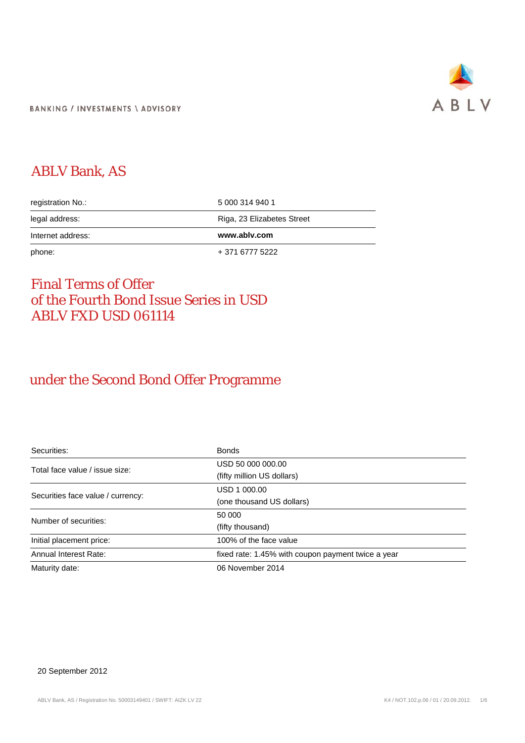

## ABLV Bank, AS

| registration No.: | 5 000 314 940 1            |
|-------------------|----------------------------|
| legal address:    | Riga, 23 Elizabetes Street |
|                   |                            |
| Internet address: | www.ablv.com               |

### Final Terms of Offer of the Fourth Bond Issue Series in USD ABLV FXD USD 061114

### under the Second Bond Offer Programme

| Securities:                       | <b>Bonds</b>                                       |  |
|-----------------------------------|----------------------------------------------------|--|
| Total face value / issue size:    | USD 50 000 000.00                                  |  |
|                                   | (fifty million US dollars)                         |  |
| Securities face value / currency: | USD 1 000.00                                       |  |
|                                   | (one thousand US dollars)                          |  |
| Number of securities:             | 50 000                                             |  |
|                                   | (fifty thousand)                                   |  |
| Initial placement price:          | 100% of the face value                             |  |
| Annual Interest Rate:             | fixed rate: 1.45% with coupon payment twice a year |  |
| Maturity date:                    | 06 November 2014                                   |  |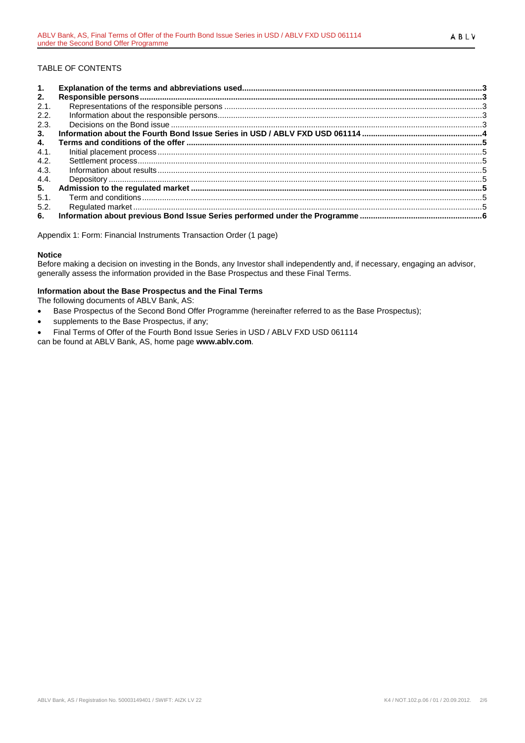### TABLE OF CONTENTS

| 1.   |  |
|------|--|
| 2.   |  |
| 2.1. |  |
| 2.2. |  |
| 2.3. |  |
| 3.   |  |
| 4.   |  |
| 4.1. |  |
| 4.2. |  |
| 4.3. |  |
| 4.4. |  |
| 5.   |  |
| 5.1. |  |
| 5.2. |  |
| 6.   |  |

Appendix 1: Form: Financial Instruments Transaction Order (1 page)

#### **Notice**

Before making a decision on investing in the Bonds, any Investor shall independently and, if necessary, engaging an advisor, generally assess the information provided in the Base Prospectus and these Final Terms.

#### **Information about the Base Prospectus and the Final Terms**

The following documents of ABLV Bank, AS:

- Base Prospectus of the Second Bond Offer Programme (hereinafter referred to as the Base Prospectus);
- supplements to the Base Prospectus, if any;
- Final Terms of Offer of the Fourth Bond Issue Series in USD / ABLV FXD USD 061114

can be found at ABLV Bank, AS, home page **www.ablv.com**.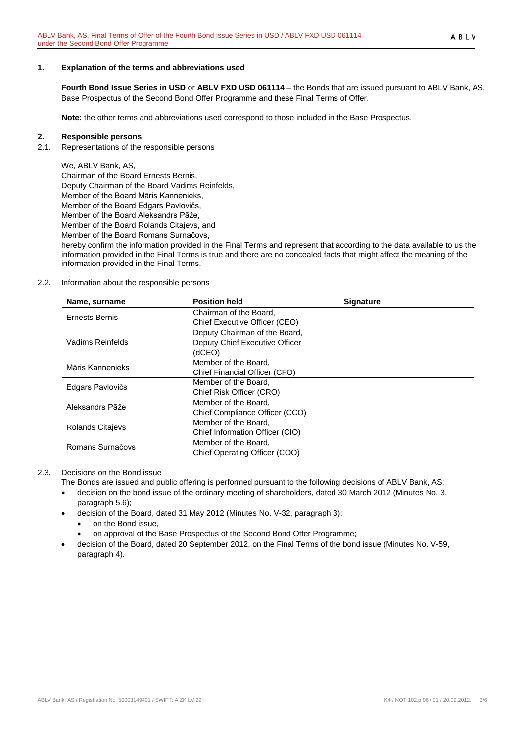#### <span id="page-2-0"></span>**1. Explanation of the terms and abbreviations used**

**Fourth Bond Issue Series in USD** or **ABLV FXD USD 061114** – the Bonds that are issued pursuant to ABLV Bank, AS, Base Prospectus of the Second Bond Offer Programme and these Final Terms of Offer.

**Note:** the other terms and abbreviations used correspond to those included in the Base Prospectus.

#### <span id="page-2-1"></span>**2. Responsible persons**

<span id="page-2-2"></span>2.1. Representations of the responsible persons

We, ABLV Bank, AS, Chairman of the Board Ernests Bernis, Deputy Chairman of the Board Vadims Reinfelds, Member of the Board Māris Kannenieks, Member of the Board Edgars Pavlovičs, Member of the Board Aleksandrs Pāže, Member of the Board Rolands Citajevs, and Member of the Board Romans Surnačovs,

hereby confirm the information provided in the Final Terms and represent that according to the data available to us the information provided in the Final Terms is true and there are no concealed facts that might affect the meaning of the information provided in the Final Terms.

#### <span id="page-2-3"></span>2.2. Information about the responsible persons

| Name, surname           | <b>Position held</b>            | <b>Signature</b> |
|-------------------------|---------------------------------|------------------|
| Ernests Bernis          | Chairman of the Board.          |                  |
|                         | Chief Executive Officer (CEO)   |                  |
|                         | Deputy Chairman of the Board,   |                  |
| Vadims Reinfelds        | Deputy Chief Executive Officer  |                  |
|                         | (dCEO)                          |                  |
| Māris Kannenieks        | Member of the Board,            |                  |
|                         | Chief Financial Officer (CFO)   |                  |
| Edgars Pavlovičs        | Member of the Board.            |                  |
|                         | Chief Risk Officer (CRO)        |                  |
| Aleksandrs Pāže         | Member of the Board.            |                  |
|                         | Chief Compliance Officer (CCO)  |                  |
| <b>Rolands Citajevs</b> | Member of the Board.            |                  |
|                         | Chief Information Officer (CIO) |                  |
| Romans Surnačovs        | Member of the Board.            |                  |
|                         | Chief Operating Officer (COO)   |                  |

#### <span id="page-2-4"></span>2.3. Decisions on the Bond issue

The Bonds are issued and public offering is performed pursuant to the following decisions of ABLV Bank, AS:

- decision on the bond issue of the ordinary meeting of shareholders, dated 30 March 2012 (Minutes No. 3, paragraph 5.6);
- decision of the Board, dated 31 May 2012 (Minutes No. V-32, paragraph 3):
	- on the Bond issue,
	- on approval of the Base Prospectus of the Second Bond Offer Programme;
- decision of the Board, dated 20 September 2012, on the Final Terms of the bond issue (Minutes No. V-59, paragraph 4).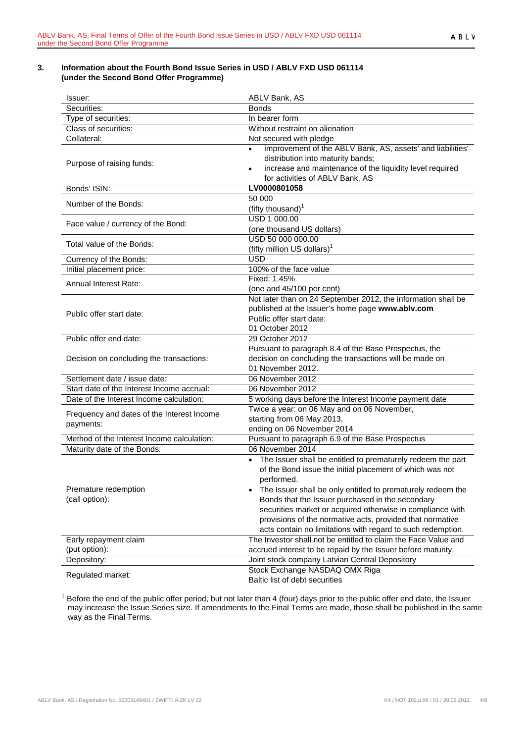#### <span id="page-3-0"></span>**3. Information about the Fourth Bond Issue Series in USD / ABLV FXD USD 061114 (under the Second Bond Offer Programme)**

| lssuer:                                                 | ABLV Bank, AS                                                                                                                                                                                                                                                                                                                                                                                                                                                   |  |
|---------------------------------------------------------|-----------------------------------------------------------------------------------------------------------------------------------------------------------------------------------------------------------------------------------------------------------------------------------------------------------------------------------------------------------------------------------------------------------------------------------------------------------------|--|
| Securities:                                             | <b>Bonds</b>                                                                                                                                                                                                                                                                                                                                                                                                                                                    |  |
| Type of securities:                                     | In bearer form                                                                                                                                                                                                                                                                                                                                                                                                                                                  |  |
| Class of securities:                                    | Without restraint on alienation                                                                                                                                                                                                                                                                                                                                                                                                                                 |  |
| Collateral:                                             | Not secured with pledge                                                                                                                                                                                                                                                                                                                                                                                                                                         |  |
| Purpose of raising funds:                               | improvement of the ABLV Bank, AS, assets' and liabilities'<br>distribution into maturity bands;<br>increase and maintenance of the liquidity level required<br>٠<br>for activities of ABLV Bank, AS                                                                                                                                                                                                                                                             |  |
| Bonds' ISIN:                                            | LV0000801058                                                                                                                                                                                                                                                                                                                                                                                                                                                    |  |
| Number of the Bonds:                                    | 50 000<br>(fifty thousand) <sup>1</sup>                                                                                                                                                                                                                                                                                                                                                                                                                         |  |
| Face value / currency of the Bond:                      | USD 1 000.00<br>(one thousand US dollars)                                                                                                                                                                                                                                                                                                                                                                                                                       |  |
| Total value of the Bonds:                               | USD 50 000 000.00<br>(fifty million US dollars) <sup>1</sup>                                                                                                                                                                                                                                                                                                                                                                                                    |  |
| Currency of the Bonds:                                  | <b>USD</b>                                                                                                                                                                                                                                                                                                                                                                                                                                                      |  |
| Initial placement price:                                | 100% of the face value                                                                                                                                                                                                                                                                                                                                                                                                                                          |  |
| <b>Annual Interest Rate:</b>                            | Fixed: 1.45%<br>(one and 45/100 per cent)                                                                                                                                                                                                                                                                                                                                                                                                                       |  |
| Public offer start date:                                | Not later than on 24 September 2012, the information shall be<br>published at the Issuer's home page www.ablv.com<br>Public offer start date:<br>01 October 2012                                                                                                                                                                                                                                                                                                |  |
| Public offer end date:                                  | 29 October 2012                                                                                                                                                                                                                                                                                                                                                                                                                                                 |  |
| Decision on concluding the transactions:                | Pursuant to paragraph 8.4 of the Base Prospectus, the<br>decision on concluding the transactions will be made on<br>01 November 2012.                                                                                                                                                                                                                                                                                                                           |  |
| Settlement date / issue date:                           | 06 November 2012                                                                                                                                                                                                                                                                                                                                                                                                                                                |  |
| Start date of the Interest Income accrual:              | 06 November 2012                                                                                                                                                                                                                                                                                                                                                                                                                                                |  |
| Date of the Interest Income calculation:                | 5 working days before the Interest Income payment date                                                                                                                                                                                                                                                                                                                                                                                                          |  |
| Frequency and dates of the Interest Income<br>payments: | Twice a year: on 06 May and on 06 November,<br>starting from 06 May 2013,<br>ending on 06 November 2014                                                                                                                                                                                                                                                                                                                                                         |  |
| Method of the Interest Income calculation:              | Pursuant to paragraph 6.9 of the Base Prospectus                                                                                                                                                                                                                                                                                                                                                                                                                |  |
| Maturity date of the Bonds:                             | 06 November 2014                                                                                                                                                                                                                                                                                                                                                                                                                                                |  |
| Premature redemption<br>(call option):                  | The Issuer shall be entitled to prematurely redeem the part<br>$\bullet$<br>of the Bond issue the initial placement of which was not<br>performed.<br>The Issuer shall be only entitled to prematurely redeem the<br>Bonds that the Issuer purchased in the secondary<br>securities market or acquired otherwise in compliance with<br>provisions of the normative acts, provided that normative<br>acts contain no limitations with regard to such redemption. |  |
| Early repayment claim                                   | The Investor shall not be entitled to claim the Face Value and                                                                                                                                                                                                                                                                                                                                                                                                  |  |
| (put option):                                           | accrued interest to be repaid by the Issuer before maturity.                                                                                                                                                                                                                                                                                                                                                                                                    |  |
| Depository:                                             | Joint stock company Latvian Central Depository                                                                                                                                                                                                                                                                                                                                                                                                                  |  |
| Regulated market:                                       | Stock Exchange NASDAQ OMX Riga<br>Baltic list of debt securities                                                                                                                                                                                                                                                                                                                                                                                                |  |

 $1$  Before the end of the public offer period, but not later than 4 (four) days prior to the public offer end date, the Issuer may increase the Issue Series size. If amendments to the Final Terms are made, those shall be published in the same way as the Final Terms.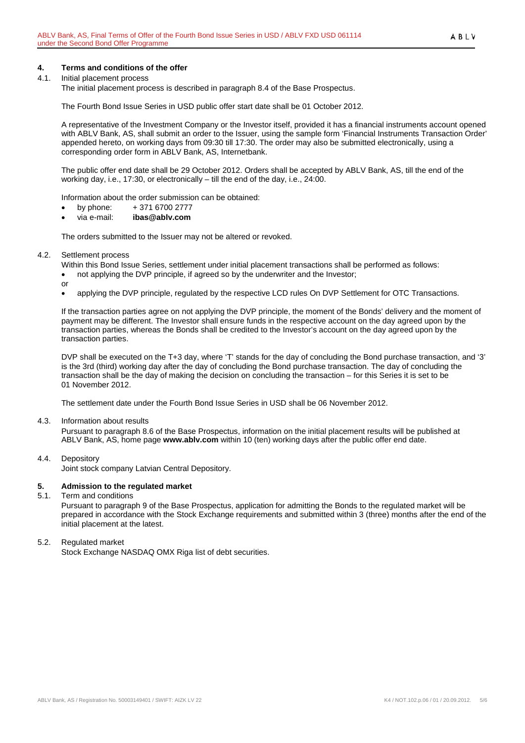# <span id="page-4-0"></span>**4. Terms and conditions of the offer**

#### <span id="page-4-1"></span>4.1. Initial placement process

The initial placement process is described in paragraph 8.4 of the Base Prospectus.

The Fourth Bond Issue Series in USD public offer start date shall be 01 October 2012.

A representative of the Investment Company or the Investor itself, provided it has a financial instruments account opened with ABLV Bank, AS, shall submit an order to the Issuer, using the sample form 'Financial Instruments Transaction Order' appended hereto, on working days from 09:30 till 17:30. The order may also be submitted electronically, using a corresponding order form in ABLV Bank, AS, Internetbank.

The public offer end date shall be 29 October 2012. Orders shall be accepted by ABLV Bank, AS, till the end of the working day, i.e., 17:30, or electronically – till the end of the day, i.e., 24:00.

Information about the order submission can be obtained:

- by phone:  $+371\,6700\,2777$
- via e-mail: **ibas@ablv.com**

The orders submitted to the Issuer may not be altered or revoked.

#### <span id="page-4-2"></span>4.2. Settlement process

Within this Bond Issue Series, settlement under initial placement transactions shall be performed as follows:

- not applying the DVP principle, if agreed so by the underwriter and the Investor;
- or
- applying the DVP principle, regulated by the respective LCD rules On DVP Settlement for OTC Transactions.

If the transaction parties agree on not applying the DVP principle, the moment of the Bonds' delivery and the moment of payment may be different. The Investor shall ensure funds in the respective account on the day agreed upon by the transaction parties, whereas the Bonds shall be credited to the Investor's account on the day agreed upon by the transaction parties.

DVP shall be executed on the T+3 day, where 'T' stands for the day of concluding the Bond purchase transaction, and '3' is the 3rd (third) working day after the day of concluding the Bond purchase transaction. The day of concluding the transaction shall be the day of making the decision on concluding the transaction – for this Series it is set to be 01 November 2012.

The settlement date under the Fourth Bond Issue Series in USD shall be 06 November 2012.

<span id="page-4-3"></span>4.3. Information about results

Pursuant to paragraph 8.6 of the Base Prospectus, information on the initial placement results will be published at ABLV Bank, AS, home page **www.ablv.com** within 10 (ten) working days after the public offer end date.

<span id="page-4-4"></span>4.4. Depository

Joint stock company Latvian Central Depository.

## <span id="page-4-5"></span>**5. Admission to the regulated market**

#### <span id="page-4-6"></span>5.1. Term and conditions

Pursuant to paragraph 9 of the Base Prospectus, application for admitting the Bonds to the regulated market will be prepared in accordance with the Stock Exchange requirements and submitted within 3 (three) months after the end of the initial placement at the latest.

#### <span id="page-4-7"></span>5.2. Regulated market

Stock Exchange NASDAQ OMX Riga list of debt securities.